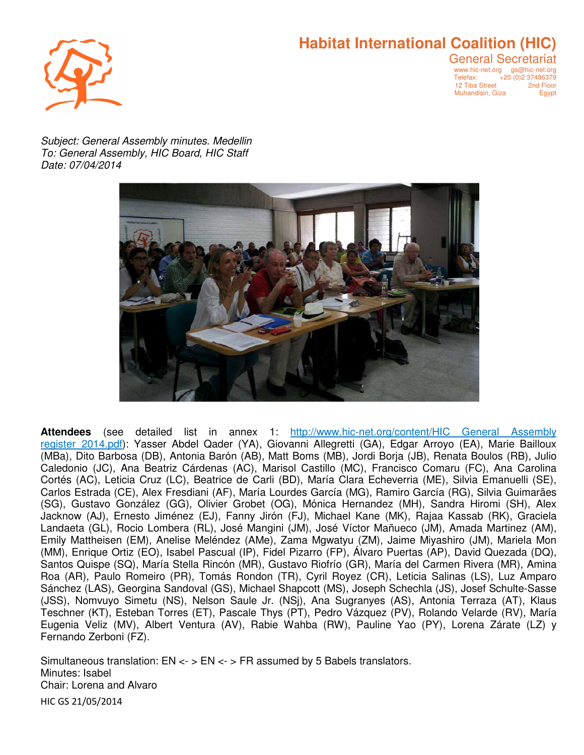# **Habitat International Coalition (HIC)**



General Secretariat www.hic-net.org gs@hic-net.org Telefax: +20 (0)2 37486379 12 Tiba Street <sup>2</sup>2nd Floor<br>Muhandisin, Giza 22 Eqypt Muhandisin, Giza

Subject: General Assembly minutes. Medellin To: General Assembly, HIC Board, HIC Staff Date: 07/04/2014



**Attendees** (see detailed list in annex 1: http://www.hic-net.org/content/HIC General Assembly register 2014.pdf): Yasser Abdel Qader (YA), Giovanni Allegretti (GA), Edgar Arroyo (EA), Marie Bailloux (MBa), Dito Barbosa (DB), Antonia Barón (AB), Matt Boms (MB), Jordi Borja (JB), Renata Boulos (RB), Julio Caledonio (JC), Ana Beatriz Cárdenas (AC), Marisol Castillo (MC), Francisco Comaru (FC), Ana Carolina Cortés (AC), Leticia Cruz (LC), Beatrice de Carli (BD), María Clara Echeverria (ME), Silvia Emanuelli (SE), Carlos Estrada (CE), Alex Fresdiani (AF), María Lourdes García (MG), Ramiro García (RG), Silvia Guimarães (SG), Gustavo González (GG), Olivier Grobet (OG), Mónica Hernandez (MH), Sandra Hiromi (SH), Alex Jacknow (AJ), Ernesto Jiménez (EJ), Fanny Jirón (FJ), Michael Kane (MK), Rajaa Kassab (RK), Graciela Landaeta (GL), Rocio Lombera (RL), José Mangini (JM), José Víctor Mañueco (JM), Amada Martinez (AM), Emily Mattheisen (EM), Anelise Meléndez (AMe), Zama Mgwatyu (ZM), Jaime Miyashiro (JM), Mariela Mon (MM), Enrique Ortiz (EO), Isabel Pascual (IP), Fidel Pizarro (FP), Álvaro Puertas (AP), David Quezada (DQ), Santos Quispe (SQ), María Stella Rincón (MR), Gustavo Riofrío (GR), María del Carmen Rivera (MR), Amina Roa (AR), Paulo Romeiro (PR), Tomás Rondon (TR), Cyril Royez (CR), Leticia Salinas (LS), Luz Amparo Sánchez (LAS), Georgina Sandoval (GS), Michael Shapcott (MS), Joseph Schechla (JS), Josef Schulte-Sasse (JSS), Nomvuyo Simetu (NS), Nelson Saule Jr. (NSj), Ana Sugranyes (AS), Antonia Terraza (AT), Klaus Teschner (KT), Esteban Torres (ET), Pascale Thys (PT), Pedro Vázquez (PV), Rolando Velarde (RV), María Eugenia Veliz (MV), Albert Ventura (AV), Rabie Wahba (RW), Pauline Yao (PY), Lorena Zárate (LZ) y Fernando Zerboni (FZ).

HIC GS 21/05/2014 Simultaneous translation:  $EN \leq S$  =  $SN \leq S$  assumed by 5 Babels translators. Minutes: Isabel Chair: Lorena and Alvaro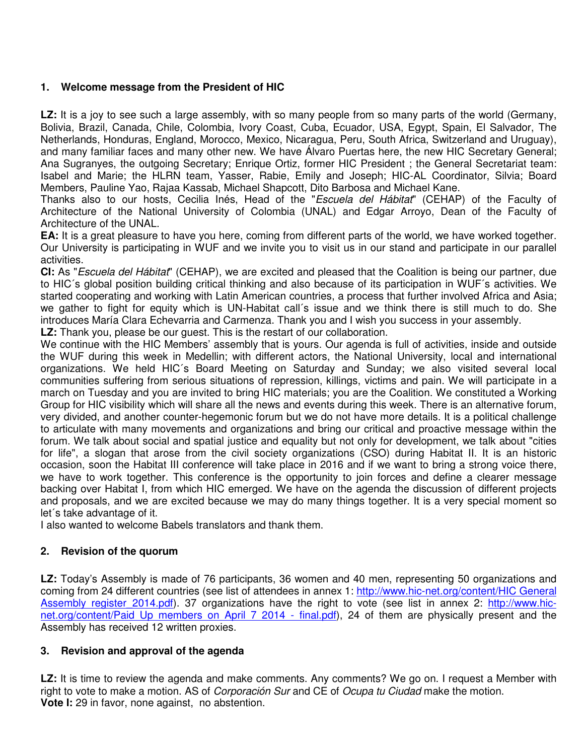## **1. Welcome message from the President of HIC**

LZ: It is a joy to see such a large assembly, with so many people from so many parts of the world (Germany, Bolivia, Brazil, Canada, Chile, Colombia, Ivory Coast, Cuba, Ecuador, USA, Egypt, Spain, El Salvador, The Netherlands, Honduras, England, Morocco, Mexico, Nicaragua, Peru, South Africa, Switzerland and Uruguay), and many familiar faces and many other new. We have Álvaro Puertas here, the new HIC Secretary General; Ana Sugranyes, the outgoing Secretary; Enrique Ortiz, former HIC President ; the General Secretariat team: Isabel and Marie; the HLRN team, Yasser, Rabie, Emily and Joseph; HIC-AL Coordinator, Silvia; Board Members, Pauline Yao, Rajaa Kassab, Michael Shapcott, Dito Barbosa and Michael Kane.

Thanks also to our hosts, Cecilia Inés, Head of the "Escuela del Hábitat" (CEHAP) of the Faculty of Architecture of the National University of Colombia (UNAL) and Edgar Arroyo, Dean of the Faculty of Architecture of the UNAL.

**EA:** It is a great pleasure to have you here, coming from different parts of the world, we have worked together. Our University is participating in WUF and we invite you to visit us in our stand and participate in our parallel activities.

**CI:** As "Escuela del Hábitat" (CEHAP), we are excited and pleased that the Coalition is being our partner, due to HIC´s global position building critical thinking and also because of its participation in WUF´s activities. We started cooperating and working with Latin American countries, a process that further involved Africa and Asia; we gather to fight for equity which is UN-Habitat call´s issue and we think there is still much to do. She introduces María Clara Echevarria and Carmenza. Thank you and I wish you success in your assembly.

**LZ:** Thank you, please be our guest. This is the restart of our collaboration.

We continue with the HIC Members' assembly that is yours. Our agenda is full of activities, inside and outside the WUF during this week in Medellin; with different actors, the National University, local and international organizations. We held HIC´s Board Meeting on Saturday and Sunday; we also visited several local communities suffering from serious situations of repression, killings, victims and pain. We will participate in a march on Tuesday and you are invited to bring HIC materials; you are the Coalition. We constituted a Working Group for HIC visibility which will share all the news and events during this week. There is an alternative forum, very divided, and another counter-hegemonic forum but we do not have more details. It is a political challenge to articulate with many movements and organizations and bring our critical and proactive message within the forum. We talk about social and spatial justice and equality but not only for development, we talk about "cities for life", a slogan that arose from the civil society organizations (CSO) during Habitat II. It is an historic occasion, soon the Habitat III conference will take place in 2016 and if we want to bring a strong voice there, we have to work together. This conference is the opportunity to join forces and define a clearer message backing over Habitat I, from which HIC emerged. We have on the agenda the discussion of different projects and proposals, and we are excited because we may do many things together. It is a very special moment so let´s take advantage of it.

I also wanted to welcome Babels translators and thank them.

## **2. Revision of the quorum**

**LZ:** Today's Assembly is made of 76 participants, 36 women and 40 men, representing 50 organizations and coming from 24 different countries (see list of attendees in annex 1: http://www.hic-net.org/content/HIC General Assembly register 2014.pdf). 37 organizations have the right to vote (see list in annex 2: http://www.hicnet.org/content/Paid Up members on April 7 2014 - final.pdf), 24 of them are physically present and the Assembly has received 12 written proxies.

#### **3. Revision and approval of the agenda**

**LZ:** It is time to review the agenda and make comments. Any comments? We go on. I request a Member with right to vote to make a motion. AS of *Corporación Sur* and CE of *Ocupa tu Ciudad* make the motion. **Vote I:** 29 in favor, none against, no abstention.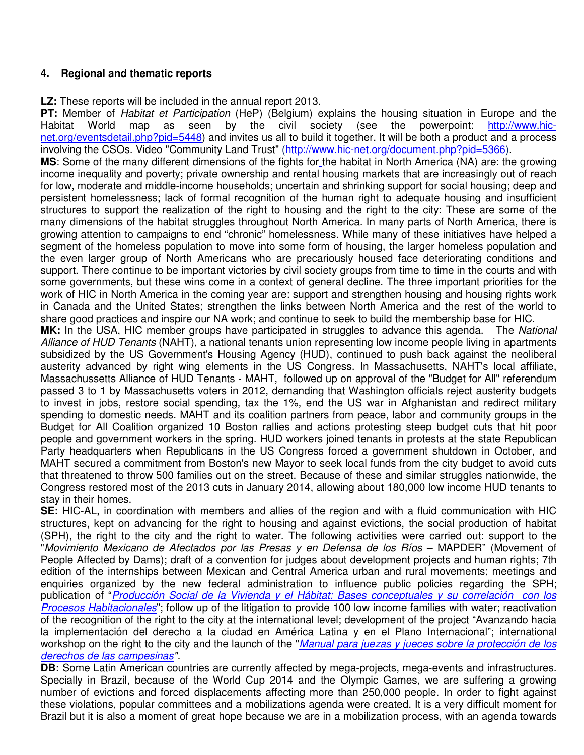### **4. Regional and thematic reports**

**LZ:** These reports will be included in the annual report 2013.

**PT:** Member of Habitat et Participation (HeP) (Belgium) explains the housing situation in Europe and the Habitat World map as seen by the civil society (see the powerpoint: http://www.hicnet.org/eventsdetail.php?pid=5448) and invites us all to build it together. It will be both a product and a process involving the CSOs. Video "Community Land Trust" (http://www.hic-net.org/document.php?pid=5366).

**MS:** Some of the many different dimensions of the fights for the habitat in North America (NA) are: the growing income inequality and poverty; private ownership and rental housing markets that are increasingly out of reach for low, moderate and middle-income households; uncertain and shrinking support for social housing; deep and persistent homelessness; lack of formal recognition of the human right to adequate housing and insufficient structures to support the realization of the right to housing and the right to the city: These are some of the many dimensions of the habitat struggles throughout North America. In many parts of North America, there is growing attention to campaigns to end "chronic" homelessness. While many of these initiatives have helped a segment of the homeless population to move into some form of housing, the larger homeless population and the even larger group of North Americans who are precariously housed face deteriorating conditions and support. There continue to be important victories by civil society groups from time to time in the courts and with some governments, but these wins come in a context of general decline. The three important priorities for the work of HIC in North America in the coming year are: support and strengthen housing and housing rights work in Canada and the United States; strengthen the links between North America and the rest of the world to share good practices and inspire our NA work; and continue to seek to build the membership base for HIC.

**MK:** In the USA, HIC member groups have participated in struggles to advance this agenda. The National Alliance of HUD Tenants (NAHT), a national tenants union representing low income people living in apartments subsidized by the US Government's Housing Agency (HUD), continued to push back against the neoliberal austerity advanced by right wing elements in the US Congress. In Massachusetts, NAHT's local affiliate, Massachussetts Alliance of HUD Tenants - MAHT, followed up on approval of the "Budget for All" referendum passed 3 to 1 by Massachusetts voters in 2012, demanding that Washington officials reject austerity budgets to invest in jobs, restore social spending, tax the 1%, end the US war in Afghanistan and redirect military spending to domestic needs. MAHT and its coalition partners from peace, labor and community groups in the Budget for All Coalition organized 10 Boston rallies and actions protesting steep budget cuts that hit poor people and government workers in the spring. HUD workers joined tenants in protests at the state Republican Party headquarters when Republicans in the US Congress forced a government shutdown in October, and MAHT secured a commitment from Boston's new Mayor to seek local funds from the city budget to avoid cuts that threatened to throw 500 families out on the street. Because of these and similar struggles nationwide, the Congress restored most of the 2013 cuts in January 2014, allowing about 180,000 low income HUD tenants to stay in their homes.

**SE:** HIC-AL, in coordination with members and allies of the region and with a fluid communication with HIC structures, kept on advancing for the right to housing and against evictions, the social production of habitat (SPH), the right to the city and the right to water. The following activities were carried out: support to the "Movimiento Mexicano de Afectados por las Presas y en Defensa de los Ríos – MAPDER" (Movement of People Affected by Dams); draft of a convention for judges about development projects and human rights; 7th edition of the internships between Mexican and Central America urban and rural movements; meetings and enquiries organized by the new federal administration to influence public policies regarding the SPH; publication of "Producción Social de la Vivienda y el Hábitat: Bases conceptuales y su correlación con los Procesos Habitacionales"; follow up of the litigation to provide 100 low income families with water; reactivation of the recognition of the right to the city at the international level; development of the project "Avanzando hacia la implementación del derecho a la ciudad en América Latina y en el Plano Internacional"; international workshop on the right to the city and the launch of the "Manual para juezas y jueces sobre la protección de los derechos de las campesinas".

**DB:** Some Latin American countries are currently affected by mega-projects, mega-events and infrastructures. Specially in Brazil, because of the World Cup 2014 and the Olympic Games, we are suffering a growing number of evictions and forced displacements affecting more than 250,000 people. In order to fight against these violations, popular committees and a mobilizations agenda were created. It is a very difficult moment for Brazil but it is also a moment of great hope because we are in a mobilization process, with an agenda towards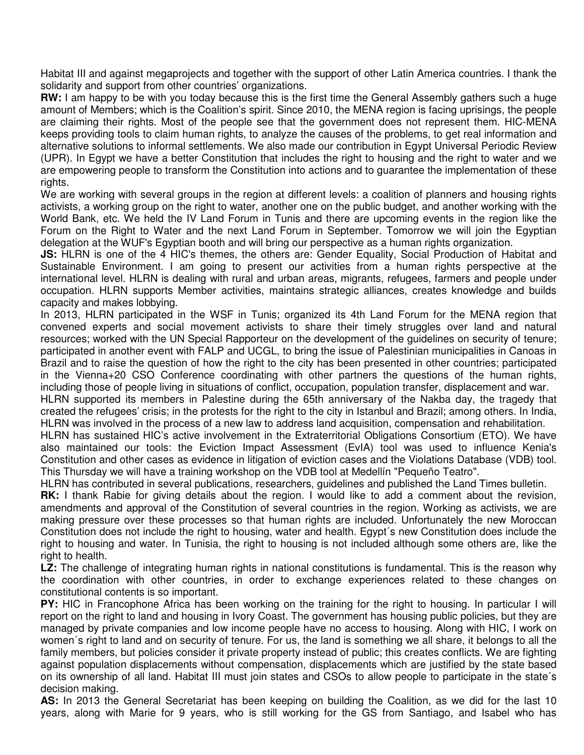Habitat III and against megaprojects and together with the support of other Latin America countries. I thank the solidarity and support from other countries' organizations.

**RW:** I am happy to be with you today because this is the first time the General Assembly gathers such a huge amount of Members; which is the Coalition's spirit. Since 2010, the MENA region is facing uprisings, the people are claiming their rights. Most of the people see that the government does not represent them. HIC-MENA keeps providing tools to claim human rights, to analyze the causes of the problems, to get real information and alternative solutions to informal settlements. We also made our contribution in Egypt Universal Periodic Review (UPR). In Egypt we have a better Constitution that includes the right to housing and the right to water and we are empowering people to transform the Constitution into actions and to guarantee the implementation of these rights.

We are working with several groups in the region at different levels: a coalition of planners and housing rights activists, a working group on the right to water, another one on the public budget, and another working with the World Bank, etc. We held the IV Land Forum in Tunis and there are upcoming events in the region like the Forum on the Right to Water and the next Land Forum in September. Tomorrow we will join the Egyptian delegation at the WUF's Egyptian booth and will bring our perspective as a human rights organization.

**JS:** HLRN is one of the 4 HIC's themes, the others are: Gender Equality, Social Production of Habitat and Sustainable Environment. I am going to present our activities from a human rights perspective at the international level. HLRN is dealing with rural and urban areas, migrants, refugees, farmers and people under occupation. HLRN supports Member activities, maintains strategic alliances, creates knowledge and builds capacity and makes lobbying.

In 2013, HLRN participated in the WSF in Tunis; organized its 4th Land Forum for the MENA region that convened experts and social movement activists to share their timely struggles over land and natural resources; worked with the UN Special Rapporteur on the development of the guidelines on security of tenure; participated in another event with FALP and UCGL, to bring the issue of Palestinian municipalities in Canoas in Brazil and to raise the question of how the right to the city has been presented in other countries; participated in the Vienna+20 CSO Conference coordinating with other partners the questions of the human rights, including those of people living in situations of conflict, occupation, population transfer, displacement and war.

HLRN supported its members in Palestine during the 65th anniversary of the Nakba day, the tragedy that created the refugees' crisis; in the protests for the right to the city in Istanbul and Brazil; among others. In India, HLRN was involved in the process of a new law to address land acquisition, compensation and rehabilitation.

HLRN has sustained HIC's active involvement in the Extraterritorial Obligations Consortium (ETO). We have also maintained our tools: the Eviction Impact Assessment (EvIA) tool was used to influence Kenia's Constitution and other cases as evidence in litigation of eviction cases and the Violations Database (VDB) tool. This Thursday we will have a training workshop on the VDB tool at Medellín "Pequeño Teatro".

HLRN has contributed in several publications, researchers, guidelines and published the Land Times bulletin. **RK:** I thank Rabie for giving details about the region. I would like to add a comment about the revision, amendments and approval of the Constitution of several countries in the region. Working as activists, we are making pressure over these processes so that human rights are included. Unfortunately the new Moroccan Constitution does not include the right to housing, water and health. Egypt´s new Constitution does include the right to housing and water. In Tunisia, the right to housing is not included although some others are, like the right to health.

**LZ:** The challenge of integrating human rights in national constitutions is fundamental. This is the reason why the coordination with other countries, in order to exchange experiences related to these changes on constitutional contents is so important.

**PY:** HIC in Francophone Africa has been working on the training for the right to housing. In particular I will report on the right to land and housing in Ivory Coast. The government has housing public policies, but they are managed by private companies and low income people have no access to housing. Along with HIC, I work on women´s right to land and on security of tenure. For us, the land is something we all share, it belongs to all the family members, but policies consider it private property instead of public; this creates conflicts. We are fighting against population displacements without compensation, displacements which are justified by the state based on its ownership of all land. Habitat III must join states and CSOs to allow people to participate in the state´s decision making.

AS: In 2013 the General Secretariat has been keeping on building the Coalition, as we did for the last 10 years, along with Marie for 9 years, who is still working for the GS from Santiago, and Isabel who has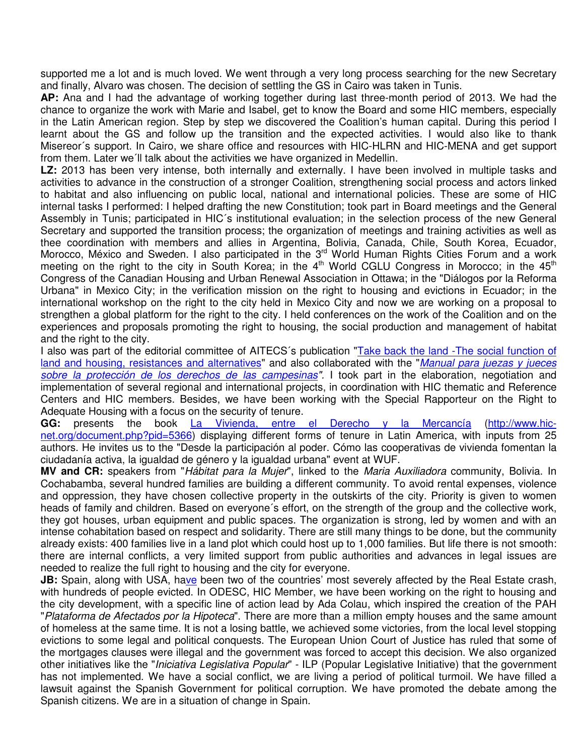supported me a lot and is much loved. We went through a very long process searching for the new Secretary and finally, Alvaro was chosen. The decision of settling the GS in Cairo was taken in Tunis.

**AP:** Ana and I had the advantage of working together during last three-month period of 2013. We had the chance to organize the work with Marie and Isabel, get to know the Board and some HIC members, especially in the Latin American region. Step by step we discovered the Coalition's human capital. During this period I learnt about the GS and follow up the transition and the expected activities. I would also like to thank Misereor´s support. In Cairo, we share office and resources with HIC-HLRN and HIC-MENA and get support from them. Later we´ll talk about the activities we have organized in Medellin.

**LZ:** 2013 has been very intense, both internally and externally. I have been involved in multiple tasks and activities to advance in the construction of a stronger Coalition, strengthening social process and actors linked to habitat and also influencing on public local, national and international policies. These are some of HIC internal tasks I performed: I helped drafting the new Constitution; took part in Board meetings and the General Assembly in Tunis; participated in HIC´s institutional evaluation; in the selection process of the new General Secretary and supported the transition process; the organization of meetings and training activities as well as thee coordination with members and allies in Argentina, Bolivia, Canada, Chile, South Korea, Ecuador, Morocco, México and Sweden. I also participated in the 3<sup>rd</sup> World Human Rights Cities Forum and a work meeting on the right to the city in South Korea; in the  $4<sup>th</sup>$  World CGLU Congress in Morocco; in the  $45<sup>th</sup>$ Congress of the Canadian Housing and Urban Renewal Association in Ottawa; in the "Diálogos por la Reforma Urbana" in Mexico City; in the verification mission on the right to housing and evictions in Ecuador; in the international workshop on the right to the city held in Mexico City and now we are working on a proposal to strengthen a global platform for the right to the city. I held conferences on the work of the Coalition and on the experiences and proposals promoting the right to housing, the social production and management of habitat and the right to the city.

I also was part of the editorial committee of AITECS's publication "Take back the land -The social function of land and housing, resistances and alternatives" and also collaborated with the "Manual para juezas y jueces sobre la protección de los derechos de las campesinas". I took part in the elaboration, negotiation and implementation of several regional and international projects, in coordination with HIC thematic and Reference Centers and HIC members. Besides, we have been working with the Special Rapporteur on the Right to Adequate Housing with a focus on the security of tenure.

GG: presents the book La Vivienda, entre el Derecho y la Mercancía (http://www.hicnet.org/document.php?pid=5366) displaying different forms of tenure in Latin America, with inputs from 25 authors. He invites us to the "Desde la participación al poder. Cómo las cooperativas de vivienda fomentan la ciudadanía activa, la igualdad de género y la igualdad urbana" event at WUF.

**MV and CR:** speakers from "Hábitat para la Mujer", linked to the Maria Auxiliadora community, Bolivia. In Cochabamba, several hundred families are building a different community. To avoid rental expenses, violence and oppression, they have chosen collective property in the outskirts of the city. Priority is given to women heads of family and children. Based on everyone´s effort, on the strength of the group and the collective work, they got houses, urban equipment and public spaces. The organization is strong, led by women and with an intense cohabitation based on respect and solidarity. There are still many things to be done, but the community already exists: 400 families live in a land plot which could host up to 1,000 families. But life there is not smooth: there are internal conflicts, a very limited support from public authorities and advances in legal issues are needed to realize the full right to housing and the city for everyone.

**JB:** Spain, along with USA, have been two of the countries' most severely affected by the Real Estate crash, with hundreds of people evicted. In ODESC, HIC Member, we have been working on the right to housing and the city development, with a specific line of action lead by Ada Colau, which inspired the creation of the PAH "Plataforma de Afectados por la Hipoteca". There are more than a million empty houses and the same amount of homeless at the same time. It is not a losing battle, we achieved some victories, from the local level stopping evictions to some legal and political conquests. The European Union Court of Justice has ruled that some of the mortgages clauses were illegal and the government was forced to accept this decision. We also organized other initiatives like the "*Iniciativa Legislativa Popular*" - ILP (Popular Legislative Initiative) that the government has not implemented. We have a social conflict, we are living a period of political turmoil. We have filled a lawsuit against the Spanish Government for political corruption. We have promoted the debate among the Spanish citizens. We are in a situation of change in Spain.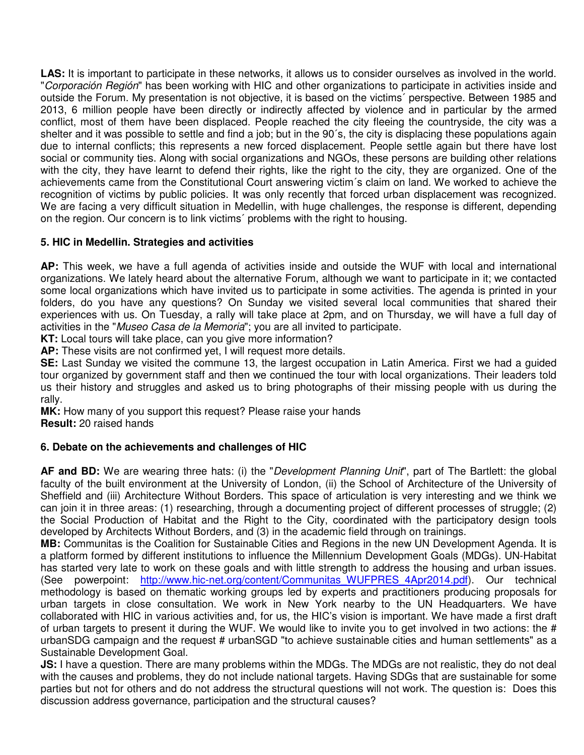**LAS:** It is important to participate in these networks, it allows us to consider ourselves as involved in the world. "Corporación Región" has been working with HIC and other organizations to participate in activities inside and outside the Forum. My presentation is not objective, it is based on the victims´ perspective. Between 1985 and 2013, 6 million people have been directly or indirectly affected by violence and in particular by the armed conflict, most of them have been displaced. People reached the city fleeing the countryside, the city was a shelter and it was possible to settle and find a job; but in the 90´s, the city is displacing these populations again due to internal conflicts; this represents a new forced displacement. People settle again but there have lost social or community ties. Along with social organizations and NGOs, these persons are building other relations with the city, they have learnt to defend their rights, like the right to the city, they are organized. One of the achievements came from the Constitutional Court answering victim´s claim on land. We worked to achieve the recognition of victims by public policies. It was only recently that forced urban displacement was recognized. We are facing a very difficult situation in Medellin, with huge challenges, the response is different, depending on the region. Our concern is to link victims´ problems with the right to housing.

## **5. HIC in Medellin. Strategies and activities**

**AP:** This week, we have a full agenda of activities inside and outside the WUF with local and international organizations. We lately heard about the alternative Forum, although we want to participate in it; we contacted some local organizations which have invited us to participate in some activities. The agenda is printed in your folders, do you have any questions? On Sunday we visited several local communities that shared their experiences with us. On Tuesday, a rally will take place at 2pm, and on Thursday, we will have a full day of activities in the "Museo Casa de la Memoria"; you are all invited to participate.

**KT:** Local tours will take place, can you give more information?

**AP:** These visits are not confirmed yet, I will request more details.

**SE:** Last Sunday we visited the commune 13, the largest occupation in Latin America. First we had a guided tour organized by government staff and then we continued the tour with local organizations. Their leaders told us their history and struggles and asked us to bring photographs of their missing people with us during the rally.

**MK:** How many of you support this request? Please raise your hands

**Result:** 20 raised hands

## **6. Debate on the achievements and challenges of HIC**

AF and BD: We are wearing three hats: (i) the "*Development Planning Unit*", part of The Bartlett: the global faculty of the built environment at the University of London, (ii) the School of Architecture of the University of Sheffield and (iii) Architecture Without Borders. This space of articulation is very interesting and we think we can join it in three areas: (1) researching, through a documenting project of different processes of struggle; (2) the Social Production of Habitat and the Right to the City, coordinated with the participatory design tools developed by Architects Without Borders, and (3) in the academic field through on trainings.

**MB:** Communitas is the Coalition for Sustainable Cities and Regions in the new UN Development Agenda. It is a platform formed by different institutions to influence the Millennium Development Goals (MDGs). UN-Habitat has started very late to work on these goals and with little strength to address the housing and urban issues. (See powerpoint: http://www.hic-net.org/content/Communitas\_WUFPRES\_4Apr2014.pdf). Our technical methodology is based on thematic working groups led by experts and practitioners producing proposals for urban targets in close consultation. We work in New York nearby to the UN Headquarters. We have collaborated with HIC in various activities and, for us, the HIC's vision is important. We have made a first draft of urban targets to present it during the WUF. We would like to invite you to get involved in two actions: the # urbanSDG campaign and the request # urbanSGD "to achieve sustainable cities and human settlements" as a Sustainable Development Goal.

**JS:** I have a question. There are many problems within the MDGs. The MDGs are not realistic, they do not deal with the causes and problems, they do not include national targets. Having SDGs that are sustainable for some parties but not for others and do not address the structural questions will not work. The question is: Does this discussion address governance, participation and the structural causes?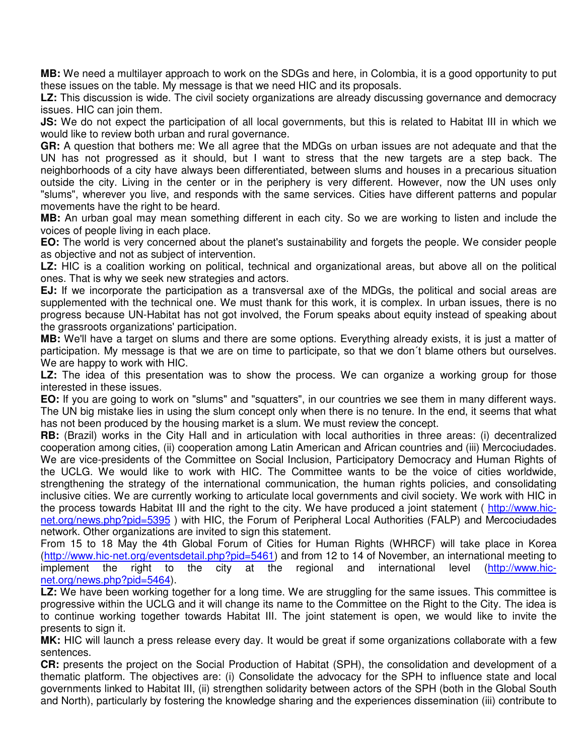**MB:** We need a multilayer approach to work on the SDGs and here, in Colombia, it is a good opportunity to put these issues on the table. My message is that we need HIC and its proposals.

**LZ:** This discussion is wide. The civil society organizations are already discussing governance and democracy issues. HIC can join them.

**JS:** We do not expect the participation of all local governments, but this is related to Habitat III in which we would like to review both urban and rural governance.

**GR:** A question that bothers me: We all agree that the MDGs on urban issues are not adequate and that the UN has not progressed as it should, but I want to stress that the new targets are a step back. The neighborhoods of a city have always been differentiated, between slums and houses in a precarious situation outside the city. Living in the center or in the periphery is very different. However, now the UN uses only "slums", wherever you live, and responds with the same services. Cities have different patterns and popular movements have the right to be heard.

**MB:** An urban goal may mean something different in each city. So we are working to listen and include the voices of people living in each place.

**EO:** The world is very concerned about the planet's sustainability and forgets the people. We consider people as objective and not as subject of intervention.

**LZ:** HIC is a coalition working on political, technical and organizational areas, but above all on the political ones. That is why we seek new strategies and actors.

**EJ:** If we incorporate the participation as a transversal axe of the MDGs, the political and social areas are supplemented with the technical one. We must thank for this work, it is complex. In urban issues, there is no progress because UN-Habitat has not got involved, the Forum speaks about equity instead of speaking about the grassroots organizations' participation.

**MB:** We'll have a target on slums and there are some options. Everything already exists, it is just a matter of participation. My message is that we are on time to participate, so that we don´t blame others but ourselves. We are happy to work with HIC.

**LZ:** The idea of this presentation was to show the process. We can organize a working group for those interested in these issues.

**EO:** If you are going to work on "slums" and "squatters", in our countries we see them in many different ways. The UN big mistake lies in using the slum concept only when there is no tenure. In the end, it seems that what has not been produced by the housing market is a slum. We must review the concept.

**RB:** (Brazil) works in the City Hall and in articulation with local authorities in three areas: (i) decentralized cooperation among cities, (ii) cooperation among Latin American and African countries and (iii) Mercociudades. We are vice-presidents of the Committee on Social Inclusion, Participatory Democracy and Human Rights of the UCLG. We would like to work with HIC. The Committee wants to be the voice of cities worldwide, strengthening the strategy of the international communication, the human rights policies, and consolidating inclusive cities. We are currently working to articulate local governments and civil society. We work with HIC in the process towards Habitat III and the right to the city. We have produced a joint statement ( http://www.hicnet.org/news.php?pid=5395 ) with HIC, the Forum of Peripheral Local Authorities (FALP) and Mercociudades network. Other organizations are invited to sign this statement.

From 15 to 18 May the 4th Global Forum of Cities for Human Rights (WHRCF) will take place in Korea (http://www.hic-net.org/eventsdetail.php?pid=5461) and from 12 to 14 of November, an international meeting to implement the right to the city at the regional and international level (http://www.hicnet.org/news.php?pid=5464).

**LZ:** We have been working together for a long time. We are struggling for the same issues. This committee is progressive within the UCLG and it will change its name to the Committee on the Right to the City. The idea is to continue working together towards Habitat III. The joint statement is open, we would like to invite the presents to sign it.

**MK:** HIC will launch a press release every day. It would be great if some organizations collaborate with a few sentences.

**CR:** presents the project on the Social Production of Habitat (SPH), the consolidation and development of a thematic platform. The objectives are: (i) Consolidate the advocacy for the SPH to influence state and local governments linked to Habitat III, (ii) strengthen solidarity between actors of the SPH (both in the Global South and North), particularly by fostering the knowledge sharing and the experiences dissemination (iii) contribute to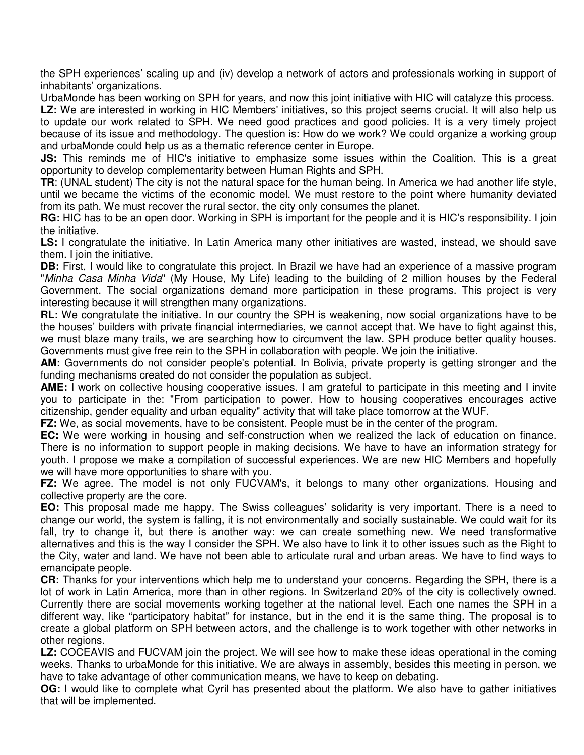the SPH experiences' scaling up and (iv) develop a network of actors and professionals working in support of inhabitants' organizations.

UrbaMonde has been working on SPH for years, and now this joint initiative with HIC will catalyze this process.

LZ: We are interested in working in HIC Members' initiatives, so this project seems crucial. It will also help us to update our work related to SPH. We need good practices and good policies. It is a very timely project because of its issue and methodology. The question is: How do we work? We could organize a working group and urbaMonde could help us as a thematic reference center in Europe.

**JS:** This reminds me of HIC's initiative to emphasize some issues within the Coalition. This is a great opportunity to develop complementarity between Human Rights and SPH.

**TR**: (UNAL student) The city is not the natural space for the human being. In America we had another life style, until we became the victims of the economic model. We must restore to the point where humanity deviated from its path. We must recover the rural sector, the city only consumes the planet.

**RG:** HIC has to be an open door. Working in SPH is important for the people and it is HIC's responsibility. I join the initiative.

**LS:** I congratulate the initiative. In Latin America many other initiatives are wasted, instead, we should save them. I join the initiative.

**DB:** First, I would like to congratulate this project. In Brazil we have had an experience of a massive program "Minha Casa Minha Vida" (My House, My Life) leading to the building of 2 million houses by the Federal Government. The social organizations demand more participation in these programs. This project is very interesting because it will strengthen many organizations.

**RL:** We congratulate the initiative. In our country the SPH is weakening, now social organizations have to be the houses' builders with private financial intermediaries, we cannot accept that. We have to fight against this, we must blaze many trails, we are searching how to circumvent the law. SPH produce better quality houses. Governments must give free rein to the SPH in collaboration with people. We join the initiative.

**AM:** Governments do not consider people's potential. In Bolivia, private property is getting stronger and the funding mechanisms created do not consider the population as subject.

**AME:** I work on collective housing cooperative issues. I am grateful to participate in this meeting and I invite you to participate in the: "From participation to power. How to housing cooperatives encourages active citizenship, gender equality and urban equality" activity that will take place tomorrow at the WUF.

**FZ:** We, as social movements, have to be consistent. People must be in the center of the program.

**EC:** We were working in housing and self-construction when we realized the lack of education on finance. There is no information to support people in making decisions. We have to have an information strategy for youth. I propose we make a compilation of successful experiences. We are new HIC Members and hopefully we will have more opportunities to share with you.

**FZ:** We agree. The model is not only FUCVAM's, it belongs to many other organizations. Housing and collective property are the core.

**EO:** This proposal made me happy. The Swiss colleagues' solidarity is very important. There is a need to change our world, the system is falling, it is not environmentally and socially sustainable. We could wait for its fall, try to change it, but there is another way: we can create something new. We need transformative alternatives and this is the way I consider the SPH. We also have to link it to other issues such as the Right to the City, water and land. We have not been able to articulate rural and urban areas. We have to find ways to emancipate people.

**CR:** Thanks for your interventions which help me to understand your concerns. Regarding the SPH, there is a lot of work in Latin America, more than in other regions. In Switzerland 20% of the city is collectively owned. Currently there are social movements working together at the national level. Each one names the SPH in a different way, like "participatory habitat" for instance, but in the end it is the same thing. The proposal is to create a global platform on SPH between actors, and the challenge is to work together with other networks in other regions.

**LZ:** COCEAVIS and FUCVAM join the project. We will see how to make these ideas operational in the coming weeks. Thanks to urbaMonde for this initiative. We are always in assembly, besides this meeting in person, we have to take advantage of other communication means, we have to keep on debating.

**OG:** I would like to complete what Cyril has presented about the platform. We also have to gather initiatives that will be implemented.